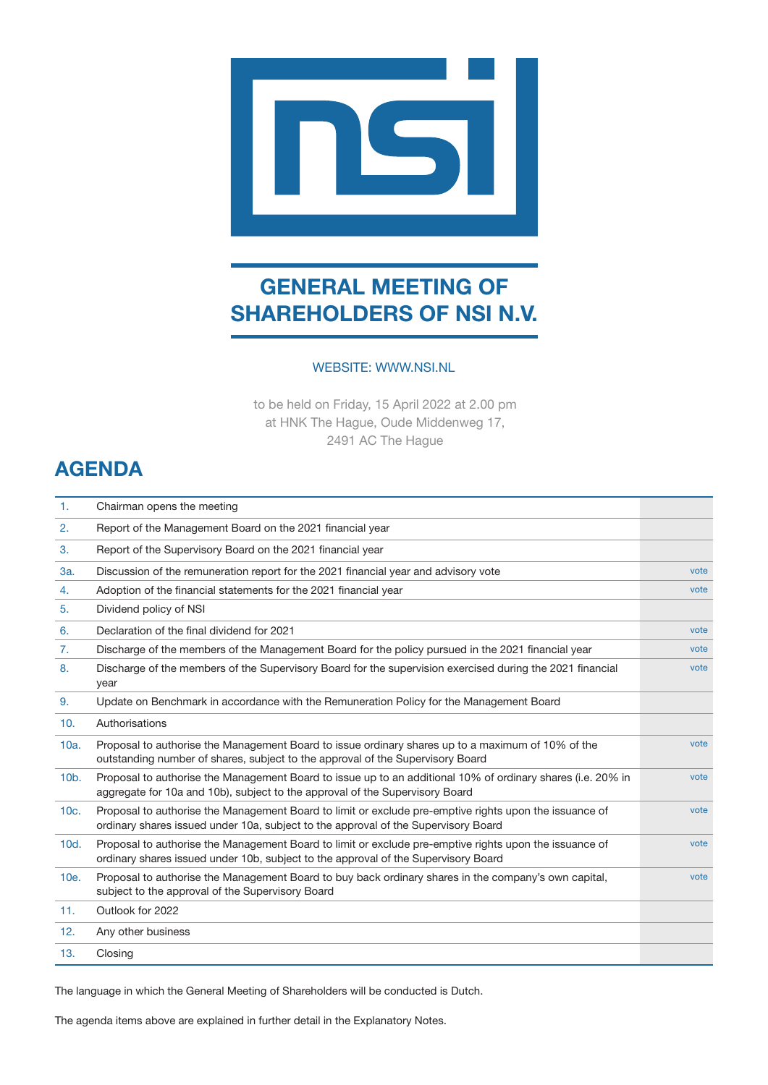

# **GENERAL MEETING OF SHAREHOLDERS OF NSI N.V.**

## WEBSITE: WWW.NSI.NL

to be held on Friday, 15 April 2022 at 2.00 pm at HNK The Hague, Oude Middenweg 17, 2491 AC The Hague

## **AGENDA**

| 1.      | Chairman opens the meeting                                                                                                                                                                   |      |
|---------|----------------------------------------------------------------------------------------------------------------------------------------------------------------------------------------------|------|
| 2.      | Report of the Management Board on the 2021 financial year                                                                                                                                    |      |
| 3.      | Report of the Supervisory Board on the 2021 financial year                                                                                                                                   |      |
| 3a.     | Discussion of the remuneration report for the 2021 financial year and advisory vote                                                                                                          | vote |
| 4.      | Adoption of the financial statements for the 2021 financial year                                                                                                                             | vote |
| 5.      | Dividend policy of NSI                                                                                                                                                                       |      |
| 6.      | Declaration of the final dividend for 2021                                                                                                                                                   | vote |
| 7.      | Discharge of the members of the Management Board for the policy pursued in the 2021 financial year                                                                                           | vote |
| 8.      | Discharge of the members of the Supervisory Board for the supervision exercised during the 2021 financial<br>year                                                                            | vote |
| 9.      | Update on Benchmark in accordance with the Remuneration Policy for the Management Board                                                                                                      |      |
| 10.     | Authorisations                                                                                                                                                                               |      |
| 10a.    | Proposal to authorise the Management Board to issue ordinary shares up to a maximum of 10% of the<br>outstanding number of shares, subject to the approval of the Supervisory Board          | vote |
| $10b$ . | Proposal to authorise the Management Board to issue up to an additional 10% of ordinary shares (i.e. 20% in<br>aggregate for 10a and 10b), subject to the approval of the Supervisory Board  | vote |
| 10c.    | Proposal to authorise the Management Board to limit or exclude pre-emptive rights upon the issuance of<br>ordinary shares issued under 10a, subject to the approval of the Supervisory Board | vote |
| 10d.    | Proposal to authorise the Management Board to limit or exclude pre-emptive rights upon the issuance of<br>ordinary shares issued under 10b, subject to the approval of the Supervisory Board | vote |
| 10e.    | Proposal to authorise the Management Board to buy back ordinary shares in the company's own capital,<br>subject to the approval of the Supervisory Board                                     | vote |
| 11.     | Outlook for 2022                                                                                                                                                                             |      |
| 12.     | Any other business                                                                                                                                                                           |      |
| 13.     | Closing                                                                                                                                                                                      |      |

The language in which the General Meeting of Shareholders will be conducted is Dutch.

The agenda items above are explained in further detail in the Explanatory Notes.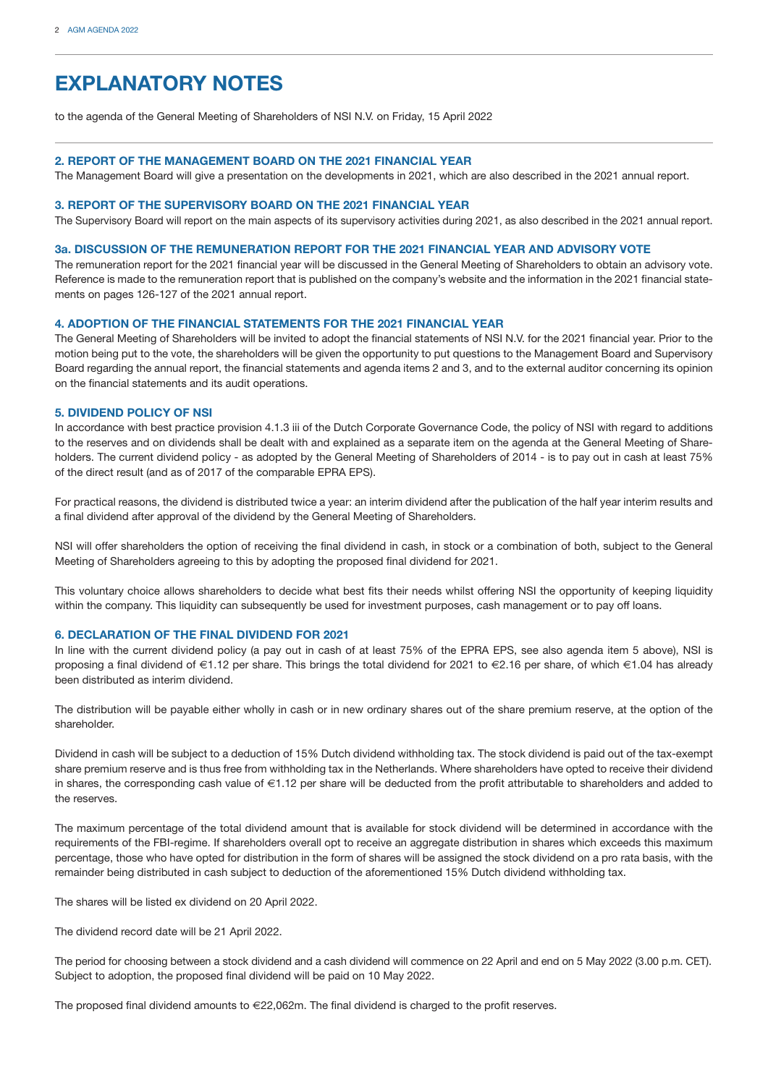## **EXPLANATORY NOTES**

to the agenda of the General Meeting of Shareholders of NSI N.V. on Friday, 15 April 2022

#### **2. REPORT OF THE MANAGEMENT BOARD ON THE 2021 FINANCIAL YEAR**

The Management Board will give a presentation on the developments in 2021, which are also described in the 2021 annual report.

#### **3. REPORT OF THE SUPERVISORY BOARD ON THE 2021 FINANCIAL YEAR**

The Supervisory Board will report on the main aspects of its supervisory activities during 2021, as also described in the 2021 annual report.

#### **3a. DISCUSSION OF THE REMUNERATION REPORT FOR THE 2021 FINANCIAL YEAR AND ADVISORY VOTE**

The remuneration report for the 2021 financial year will be discussed in the General Meeting of Shareholders to obtain an advisory vote. Reference is made to the remuneration report that is published on the company's website and the information in the 2021 financial statements on pages 126-127 of the 2021 annual report.

#### **4. ADOPTION OF THE FINANCIAL STATEMENTS FOR THE 2021 FINANCIAL YEAR**

The General Meeting of Shareholders will be invited to adopt the financial statements of NSI N.V. for the 2021 financial year. Prior to the motion being put to the vote, the shareholders will be given the opportunity to put questions to the Management Board and Supervisory Board regarding the annual report, the financial statements and agenda items 2 and 3, and to the external auditor concerning its opinion on the financial statements and its audit operations.

#### **5. DIVIDEND POLICY OF NSI**

In accordance with best practice provision 4.1.3 iii of the Dutch Corporate Governance Code, the policy of NSI with regard to additions to the reserves and on dividends shall be dealt with and explained as a separate item on the agenda at the General Meeting of Shareholders. The current dividend policy - as adopted by the General Meeting of Shareholders of 2014 - is to pay out in cash at least 75% of the direct result (and as of 2017 of the comparable EPRA EPS).

For practical reasons, the dividend is distributed twice a year: an interim dividend after the publication of the half year interim results and a final dividend after approval of the dividend by the General Meeting of Shareholders.

NSI will offer shareholders the option of receiving the final dividend in cash, in stock or a combination of both, subject to the General Meeting of Shareholders agreeing to this by adopting the proposed final dividend for 2021.

This voluntary choice allows shareholders to decide what best fits their needs whilst offering NSI the opportunity of keeping liquidity within the company. This liquidity can subsequently be used for investment purposes, cash management or to pay off loans.

#### **6. DECLARATION OF THE FINAL DIVIDEND FOR 2021**

In line with the current dividend policy (a pay out in cash of at least 75% of the EPRA EPS, see also agenda item 5 above), NSI is proposing a final dividend of €1.12 per share. This brings the total dividend for 2021 to €2.16 per share, of which €1.04 has already been distributed as interim dividend.

The distribution will be payable either wholly in cash or in new ordinary shares out of the share premium reserve, at the option of the shareholder.

Dividend in cash will be subject to a deduction of 15% Dutch dividend withholding tax. The stock dividend is paid out of the tax-exempt share premium reserve and is thus free from withholding tax in the Netherlands. Where shareholders have opted to receive their dividend in shares, the corresponding cash value of €1.12 per share will be deducted from the profit attributable to shareholders and added to the reserves.

The maximum percentage of the total dividend amount that is available for stock dividend will be determined in accordance with the requirements of the FBI-regime. If shareholders overall opt to receive an aggregate distribution in shares which exceeds this maximum percentage, those who have opted for distribution in the form of shares will be assigned the stock dividend on a pro rata basis, with the remainder being distributed in cash subject to deduction of the aforementioned 15% Dutch dividend withholding tax.

The shares will be listed ex dividend on 20 April 2022.

The dividend record date will be 21 April 2022.

The period for choosing between a stock dividend and a cash dividend will commence on 22 April and end on 5 May 2022 (3.00 p.m. CET). Subject to adoption, the proposed final dividend will be paid on 10 May 2022.

The proposed final dividend amounts to €22,062m. The final dividend is charged to the profit reserves.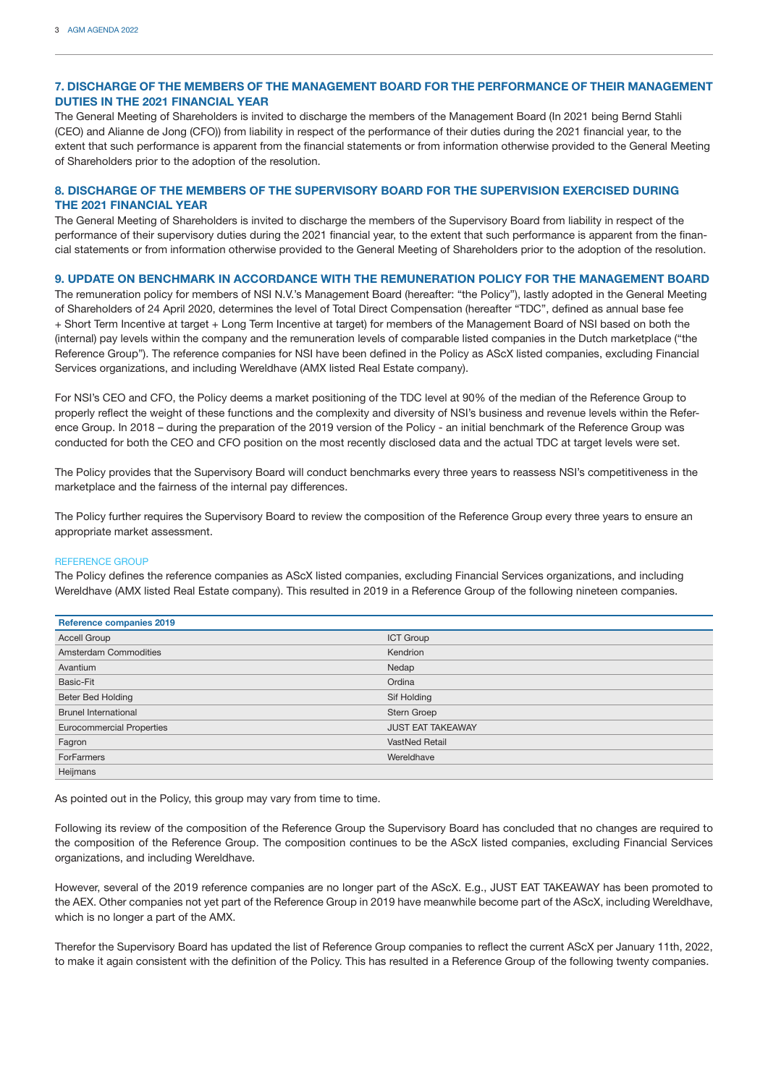## **7. DISCHARGE OF THE MEMBERS OF THE MANAGEMENT BOARD FOR THE PERFORMANCE OF THEIR MANAGEMENT DUTIES IN THE 2021 FINANCIAL YEAR**

The General Meeting of Shareholders is invited to discharge the members of the Management Board (In 2021 being Bernd Stahli (CEO) and Alianne de Jong (CFO)) from liability in respect of the performance of their duties during the 2021 financial year, to the extent that such performance is apparent from the financial statements or from information otherwise provided to the General Meeting of Shareholders prior to the adoption of the resolution.

## **8. DISCHARGE OF THE MEMBERS OF THE SUPERVISORY BOARD FOR THE SUPERVISION EXERCISED DURING THE 2021 FINANCIAL YEAR**

The General Meeting of Shareholders is invited to discharge the members of the Supervisory Board from liability in respect of the performance of their supervisory duties during the 2021 financial year, to the extent that such performance is apparent from the financial statements or from information otherwise provided to the General Meeting of Shareholders prior to the adoption of the resolution.

### **9. UPDATE ON BENCHMARK IN ACCORDANCE WITH THE REMUNERATION POLICY FOR THE MANAGEMENT BOARD**

The remuneration policy for members of NSI N.V.'s Management Board (hereafter: "the Policy"), lastly adopted in the General Meeting of Shareholders of 24 April 2020, determines the level of Total Direct Compensation (hereafter "TDC", defined as annual base fee + Short Term Incentive at target + Long Term Incentive at target) for members of the Management Board of NSI based on both the (internal) pay levels within the company and the remuneration levels of comparable listed companies in the Dutch marketplace ("the Reference Group"). The reference companies for NSI have been defined in the Policy as AScX listed companies, excluding Financial Services organizations, and including Wereldhave (AMX listed Real Estate company).

For NSI's CEO and CFO, the Policy deems a market positioning of the TDC level at 90% of the median of the Reference Group to properly reflect the weight of these functions and the complexity and diversity of NSI's business and revenue levels within the Reference Group. In 2018 – during the preparation of the 2019 version of the Policy - an initial benchmark of the Reference Group was conducted for both the CEO and CFO position on the most recently disclosed data and the actual TDC at target levels were set.

The Policy provides that the Supervisory Board will conduct benchmarks every three years to reassess NSI's competitiveness in the marketplace and the fairness of the internal pay differences.

The Policy further requires the Supervisory Board to review the composition of the Reference Group every three years to ensure an appropriate market assessment.

#### REFERENCE GROUP

The Policy defines the reference companies as AScX listed companies, excluding Financial Services organizations, and including Wereldhave (AMX listed Real Estate company). This resulted in 2019 in a Reference Group of the following nineteen companies.

| Reference companies 2019         |                          |  |  |
|----------------------------------|--------------------------|--|--|
| <b>Accell Group</b>              | <b>ICT Group</b>         |  |  |
| Amsterdam Commodities            | Kendrion                 |  |  |
| Avantium                         | Nedap                    |  |  |
| Basic-Fit                        | Ordina                   |  |  |
| <b>Beter Bed Holding</b>         | Sif Holding              |  |  |
| <b>Brunel International</b>      | Stern Groep              |  |  |
| <b>Eurocommercial Properties</b> | <b>JUST EAT TAKEAWAY</b> |  |  |
| Fagron                           | <b>VastNed Retail</b>    |  |  |
| <b>ForFarmers</b>                | Wereldhave               |  |  |
| Heijmans                         |                          |  |  |

As pointed out in the Policy, this group may vary from time to time.

Following its review of the composition of the Reference Group the Supervisory Board has concluded that no changes are required to the composition of the Reference Group. The composition continues to be the AScX listed companies, excluding Financial Services organizations, and including Wereldhave.

However, several of the 2019 reference companies are no longer part of the AScX. E.g., JUST EAT TAKEAWAY has been promoted to the AEX. Other companies not yet part of the Reference Group in 2019 have meanwhile become part of the AScX, including Wereldhave, which is no longer a part of the AMX.

Therefor the Supervisory Board has updated the list of Reference Group companies to reflect the current AScX per January 11th, 2022, to make it again consistent with the definition of the Policy. This has resulted in a Reference Group of the following twenty companies.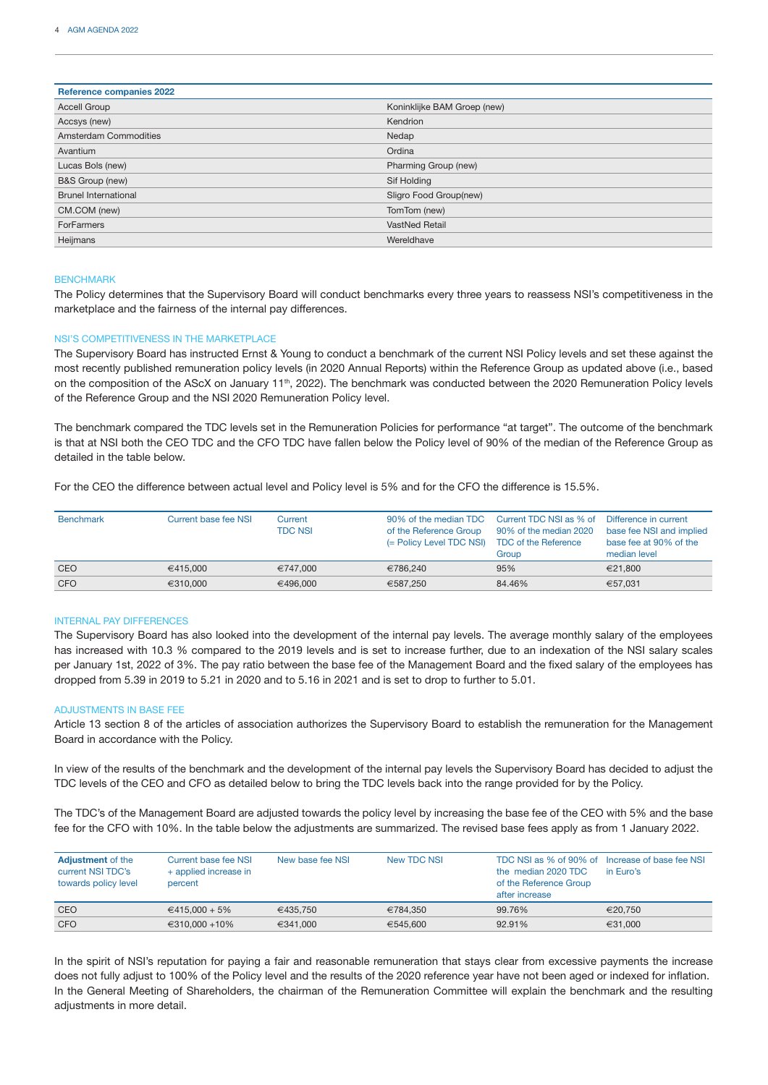| <b>Reference companies 2022</b> |                             |  |  |
|---------------------------------|-----------------------------|--|--|
| <b>Accell Group</b>             | Koninklijke BAM Groep (new) |  |  |
| Accsys (new)                    | Kendrion                    |  |  |
| Amsterdam Commodities           | Nedap                       |  |  |
| Avantium                        | Ordina                      |  |  |
| Lucas Bols (new)                | Pharming Group (new)        |  |  |
| B&S Group (new)                 | Sif Holding                 |  |  |
| <b>Brunel International</b>     | Sligro Food Group(new)      |  |  |
| CM.COM (new)                    | TomTom (new)                |  |  |
| <b>ForFarmers</b>               | <b>VastNed Retail</b>       |  |  |
| Heijmans                        | Wereldhave                  |  |  |

#### **BENCHMARK**

The Policy determines that the Supervisory Board will conduct benchmarks every three years to reassess NSI's competitiveness in the marketplace and the fairness of the internal pay differences.

#### NSI'S COMPETITIVENESS IN THE MARKETPLACE

The Supervisory Board has instructed Ernst & Young to conduct a benchmark of the current NSI Policy levels and set these against the most recently published remuneration policy levels (in 2020 Annual Reports) within the Reference Group as updated above (i.e., based on the composition of the AScX on January 11<sup>th</sup>, 2022). The benchmark was conducted between the 2020 Remuneration Policy levels of the Reference Group and the NSI 2020 Remuneration Policy level.

The benchmark compared the TDC levels set in the Remuneration Policies for performance "at target". The outcome of the benchmark is that at NSI both the CEO TDC and the CFO TDC have fallen below the Policy level of 90% of the median of the Reference Group as detailed in the table below.

For the CEO the difference between actual level and Policy level is 5% and for the CFO the difference is 15.5%.

| <b>Benchmark</b> | Current base fee NSI | Current<br><b>TDC NSI</b> | 90% of the median TDC<br>of the Reference Group<br>(= Policy Level TDC NSI) | Current TDC NSI as % of<br>90% of the median 2020<br><b>TDC of the Reference</b><br>Group | Difference in current<br>base fee NSI and implied<br>base fee at 90% of the<br>median level |
|------------------|----------------------|---------------------------|-----------------------------------------------------------------------------|-------------------------------------------------------------------------------------------|---------------------------------------------------------------------------------------------|
| CEO              | €415,000             | €747.000                  | €786.240                                                                    | 95%                                                                                       | €21.800                                                                                     |
| <b>CFO</b>       | €310,000             | €496.000                  | €587.250                                                                    | 84.46%                                                                                    | €57.031                                                                                     |

#### INTERNAL PAY DIFFERENCES

The Supervisory Board has also looked into the development of the internal pay levels. The average monthly salary of the employees has increased with 10.3 % compared to the 2019 levels and is set to increase further, due to an indexation of the NSI salary scales per January 1st, 2022 of 3%. The pay ratio between the base fee of the Management Board and the fixed salary of the employees has dropped from 5.39 in 2019 to 5.21 in 2020 and to 5.16 in 2021 and is set to drop to further to 5.01.

#### ADJUSTMENTS IN BASE FEE

Article 13 section 8 of the articles of association authorizes the Supervisory Board to establish the remuneration for the Management Board in accordance with the Policy.

In view of the results of the benchmark and the development of the internal pay levels the Supervisory Board has decided to adjust the TDC levels of the CEO and CFO as detailed below to bring the TDC levels back into the range provided for by the Policy.

The TDC's of the Management Board are adjusted towards the policy level by increasing the base fee of the CEO with 5% and the base fee for the CFO with 10%. In the table below the adjustments are summarized. The revised base fees apply as from 1 January 2022.

| <b>Adjustment</b> of the<br>current NSI TDC's<br>towards policy level | Current base fee NSI<br>+ applied increase in<br>percent | New base fee NSI | New TDC NSL | TDC NSI as % of 90% of Increase of base fee NSI<br>the median 2020 TDC<br>of the Reference Group<br>after increase | in Euro's |
|-----------------------------------------------------------------------|----------------------------------------------------------|------------------|-------------|--------------------------------------------------------------------------------------------------------------------|-----------|
| CEO                                                                   | €415.000 + 5%                                            | €435.750         | €784.350    | 99.76%                                                                                                             | €20.750   |
| <b>CFO</b>                                                            | $€310.000 + 10\%$                                        | €341.000         | €545,600    | 92.91%                                                                                                             | €31.000   |

In the spirit of NSI's reputation for paying a fair and reasonable remuneration that stays clear from excessive payments the increase does not fully adjust to 100% of the Policy level and the results of the 2020 reference year have not been aged or indexed for inflation. In the General Meeting of Shareholders, the chairman of the Remuneration Committee will explain the benchmark and the resulting adjustments in more detail.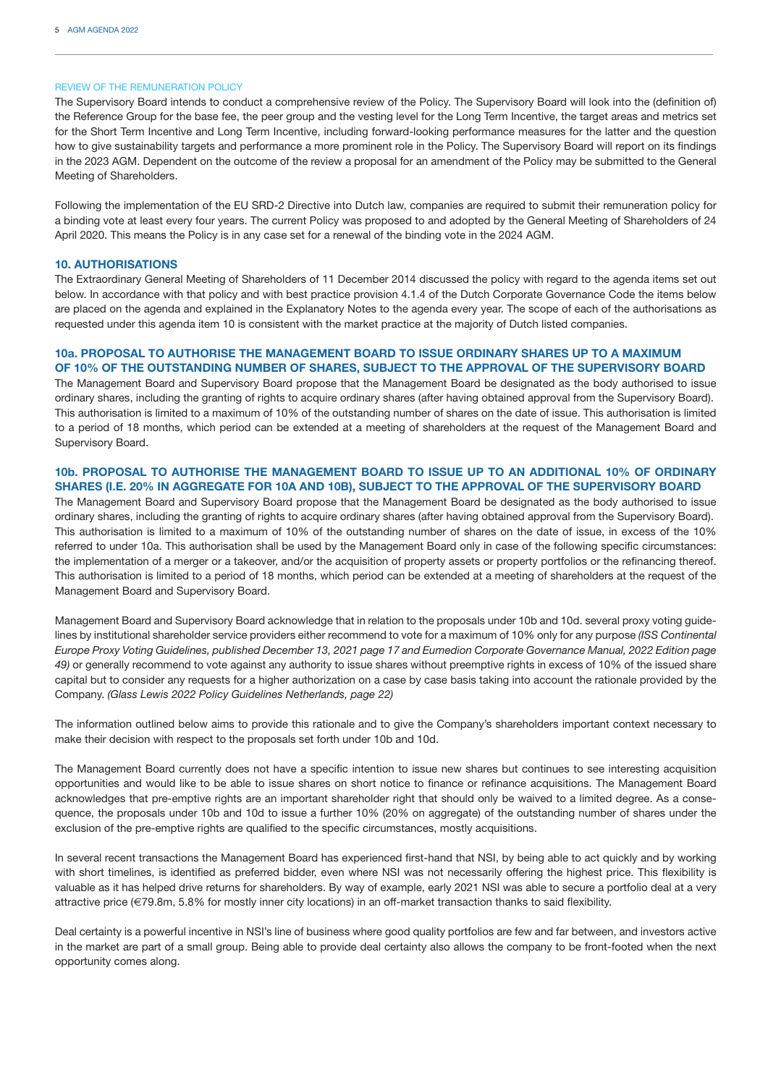#### REVIEW OF THE REMUNERATION POLICY

The Supervisory Board intends to conduct a comprehensive review of the Policy. The Supervisory Board will look into the (definition of) the Reference Group for the base fee, the peer group and the vesting level for the Long Term Incentive, the target areas and metrics set for the Short Term Incentive and Long Term Incentive, including forward-looking performance measures for the latter and the question how to give sustainability targets and performance a more prominent role in the Policy. The Supervisory Board will report on its findings in the 2023 AGM. Dependent on the outcome of the review a proposal for an amendment of the Policy may be submitted to the General Meeting of Shareholders.

Following the implementation of the EU SRD-2 Directive into Dutch law, companies are required to submit their remuneration policy for a binding vote at least every four years. The current Policy was proposed to and adopted by the General Meeting of Shareholders of 24 April 2020. This means the Policy is in any case set for a renewal of the binding vote in the 2024 AGM.

#### **10. AUTHORISATIONS**

The Extraordinary General Meeting of Shareholders of 11 December 2014 discussed the policy with regard to the agenda items set out below. In accordance with that policy and with best practice provision 4.1.4 of the Dutch Corporate Governance Code the items below are placed on the agenda and explained in the Explanatory Notes to the agenda every year. The scope of each of the authorisations as requested under this agenda item 10 is consistent with the market practice at the majority of Dutch listed companies.

## **10a. PROPOSAL TO AUTHORISE THE MANAGEMENT BOARD TO ISSUE ORDINARY SHARES UP TO A MAXIMUM OF 10% OF THE OUTSTANDING NUMBER OF SHARES, SUBJECT TO THE APPROVAL OF THE SUPERVISORY BOARD**

The Management Board and Supervisory Board propose that the Management Board be designated as the body authorised to issue ordinary shares, including the granting of rights to acquire ordinary shares (after having obtained approval from the Supervisory Board). This authorisation is limited to a maximum of 10% of the outstanding number of shares on the date of issue. This authorisation is limited to a period of 18 months, which period can be extended at a meeting of shareholders at the request of the Management Board and Supervisory Board.

### **10b. PROPOSAL TO AUTHORISE THE MANAGEMENT BOARD TO ISSUE UP TO AN ADDITIONAL 10% OF ORDINARY SHARES (I.E. 20% IN AGGREGATE FOR 10A AND 10B), SUBJECT TO THE APPROVAL OF THE SUPERVISORY BOARD**

The Management Board and Supervisory Board propose that the Management Board be designated as the body authorised to issue ordinary shares, including the granting of rights to acquire ordinary shares (after having obtained approval from the Supervisory Board). This authorisation is limited to a maximum of 10% of the outstanding number of shares on the date of issue, in excess of the 10% referred to under 10a. This authorisation shall be used by the Management Board only in case of the following specific circumstances: the implementation of a merger or a takeover, and/or the acquisition of property assets or property portfolios or the refinancing thereof. This authorisation is limited to a period of 18 months, which period can be extended at a meeting of shareholders at the request of the Management Board and Supervisory Board.

Management Board and Supervisory Board acknowledge that in relation to the proposals under 10b and 10d. several proxy voting guidelines by institutional shareholder service providers either recommend to vote for a maximum of 10% only for any purpose *(ISS Continental Europe Proxy Voting Guidelines, published December 13, 2021 page 17 and Eumedion Corporate Governance Manual, 2022 Edition page 49)* or generally recommend to vote against any authority to issue shares without preemptive rights in excess of 10% of the issued share capital but to consider any requests for a higher authorization on a case by case basis taking into account the rationale provided by the Company. *(Glass Lewis 2022 Policy Guidelines Netherlands, page 22)*

The information outlined below aims to provide this rationale and to give the Company's shareholders important context necessary to make their decision with respect to the proposals set forth under 10b and 10d.

The Management Board currently does not have a specific intention to issue new shares but continues to see interesting acquisition opportunities and would like to be able to issue shares on short notice to finance or refinance acquisitions. The Management Board acknowledges that pre-emptive rights are an important shareholder right that should only be waived to a limited degree. As a consequence, the proposals under 10b and 10d to issue a further 10% (20% on aggregate) of the outstanding number of shares under the exclusion of the pre-emptive rights are qualified to the specific circumstances, mostly acquisitions.

In several recent transactions the Management Board has experienced first-hand that NSI, by being able to act quickly and by working with short timelines, is identified as preferred bidder, even where NSI was not necessarily offering the highest price. This flexibility is valuable as it has helped drive returns for shareholders. By way of example, early 2021 NSI was able to secure a portfolio deal at a very attractive price (€79.8m, 5.8% for mostly inner city locations) in an off-market transaction thanks to said flexibility.

Deal certainty is a powerful incentive in NSI's line of business where good quality portfolios are few and far between, and investors active in the market are part of a small group. Being able to provide deal certainty also allows the company to be front-footed when the next opportunity comes along.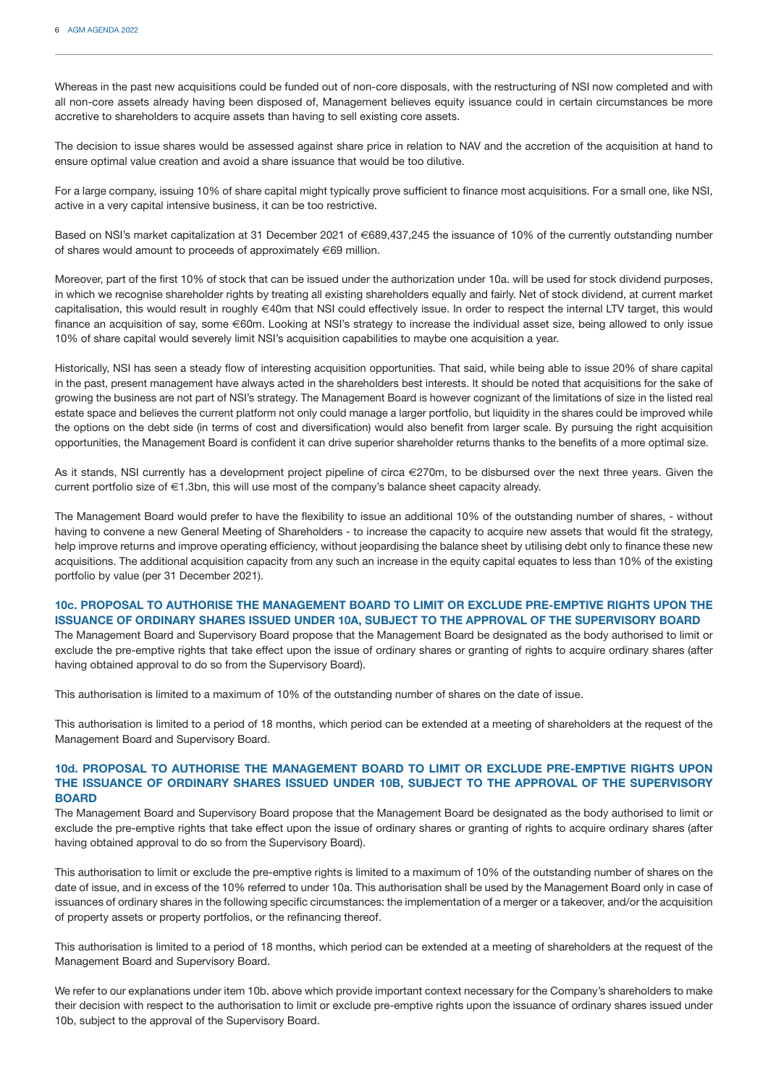Whereas in the past new acquisitions could be funded out of non-core disposals, with the restructuring of NSI now completed and with all non-core assets already having been disposed of, Management believes equity issuance could in certain circumstances be more accretive to shareholders to acquire assets than having to sell existing core assets.

The decision to issue shares would be assessed against share price in relation to NAV and the accretion of the acquisition at hand to ensure optimal value creation and avoid a share issuance that would be too dilutive.

For a large company, issuing 10% of share capital might typically prove sufficient to finance most acquisitions. For a small one, like NSI, active in a very capital intensive business, it can be too restrictive.

Based on NSI's market capitalization at 31 December 2021 of €689,437,245 the issuance of 10% of the currently outstanding number of shares would amount to proceeds of approximately €69 million.

Moreover, part of the first 10% of stock that can be issued under the authorization under 10a. will be used for stock dividend purposes, in which we recognise shareholder rights by treating all existing shareholders equally and fairly. Net of stock dividend, at current market capitalisation, this would result in roughly €40m that NSI could effectively issue. In order to respect the internal LTV target, this would finance an acquisition of say, some €60m. Looking at NSI's strategy to increase the individual asset size, being allowed to only issue 10% of share capital would severely limit NSI's acquisition capabilities to maybe one acquisition a year.

Historically, NSI has seen a steady flow of interesting acquisition opportunities. That said, while being able to issue 20% of share capital in the past, present management have always acted in the shareholders best interests. It should be noted that acquisitions for the sake of growing the business are not part of NSI's strategy. The Management Board is however cognizant of the limitations of size in the listed real estate space and believes the current platform not only could manage a larger portfolio, but liquidity in the shares could be improved while the options on the debt side (in terms of cost and diversification) would also benefit from larger scale. By pursuing the right acquisition opportunities, the Management Board is confident it can drive superior shareholder returns thanks to the benefits of a more optimal size.

As it stands, NSI currently has a development project pipeline of circa €270m, to be disbursed over the next three years. Given the current portfolio size of €1.3bn, this will use most of the company's balance sheet capacity already.

The Management Board would prefer to have the flexibility to issue an additional 10% of the outstanding number of shares, - without having to convene a new General Meeting of Shareholders - to increase the capacity to acquire new assets that would fit the strategy, help improve returns and improve operating efficiency, without jeopardising the balance sheet by utilising debt only to finance these new acquisitions. The additional acquisition capacity from any such an increase in the equity capital equates to less than 10% of the existing portfolio by value (per 31 December 2021).

## **10c. PROPOSAL TO AUTHORISE THE MANAGEMENT BOARD TO LIMIT OR EXCLUDE PRE-EMPTIVE RIGHTS UPON THE ISSUANCE OF ORDINARY SHARES ISSUED UNDER 10A, SUBJECT TO THE APPROVAL OF THE SUPERVISORY BOARD**

The Management Board and Supervisory Board propose that the Management Board be designated as the body authorised to limit or exclude the pre-emptive rights that take effect upon the issue of ordinary shares or granting of rights to acquire ordinary shares (after having obtained approval to do so from the Supervisory Board).

This authorisation is limited to a maximum of 10% of the outstanding number of shares on the date of issue.

This authorisation is limited to a period of 18 months, which period can be extended at a meeting of shareholders at the request of the Management Board and Supervisory Board.

## **10d. PROPOSAL TO AUTHORISE THE MANAGEMENT BOARD TO LIMIT OR EXCLUDE PRE-EMPTIVE RIGHTS UPON THE ISSUANCE OF ORDINARY SHARES ISSUED UNDER 10B, SUBJECT TO THE APPROVAL OF THE SUPERVISORY BOARD**

The Management Board and Supervisory Board propose that the Management Board be designated as the body authorised to limit or exclude the pre-emptive rights that take effect upon the issue of ordinary shares or granting of rights to acquire ordinary shares (after having obtained approval to do so from the Supervisory Board).

This authorisation to limit or exclude the pre-emptive rights is limited to a maximum of 10% of the outstanding number of shares on the date of issue, and in excess of the 10% referred to under 10a. This authorisation shall be used by the Management Board only in case of issuances of ordinary shares in the following specific circumstances: the implementation of a merger or a takeover, and/or the acquisition of property assets or property portfolios, or the refinancing thereof.

This authorisation is limited to a period of 18 months, which period can be extended at a meeting of shareholders at the request of the Management Board and Supervisory Board.

We refer to our explanations under item 10b. above which provide important context necessary for the Company's shareholders to make their decision with respect to the authorisation to limit or exclude pre-emptive rights upon the issuance of ordinary shares issued under 10b, subject to the approval of the Supervisory Board.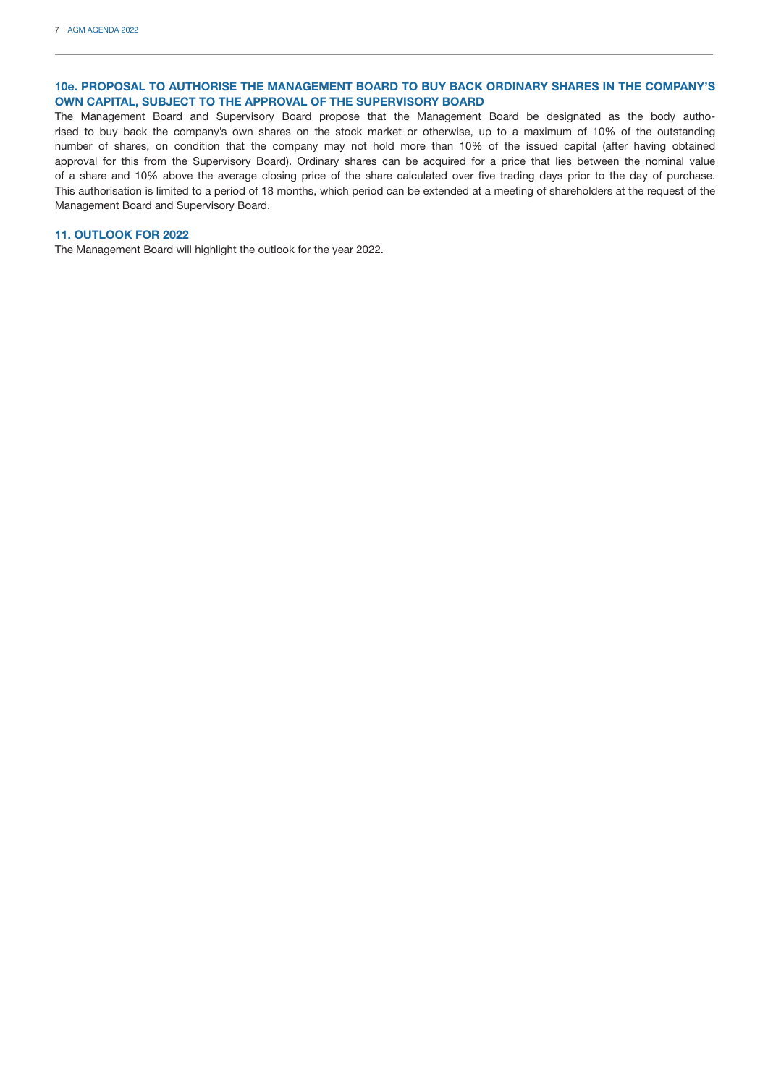## **10e. PROPOSAL TO AUTHORISE THE MANAGEMENT BOARD TO BUY BACK ORDINARY SHARES IN THE COMPANY'S OWN CAPITAL, SUBJECT TO THE APPROVAL OF THE SUPERVISORY BOARD**

The Management Board and Supervisory Board propose that the Management Board be designated as the body authorised to buy back the company's own shares on the stock market or otherwise, up to a maximum of 10% of the outstanding number of shares, on condition that the company may not hold more than 10% of the issued capital (after having obtained approval for this from the Supervisory Board). Ordinary shares can be acquired for a price that lies between the nominal value of a share and 10% above the average closing price of the share calculated over five trading days prior to the day of purchase. This authorisation is limited to a period of 18 months, which period can be extended at a meeting of shareholders at the request of the Management Board and Supervisory Board.

## **11. OUTLOOK FOR 2022**

The Management Board will highlight the outlook for the year 2022.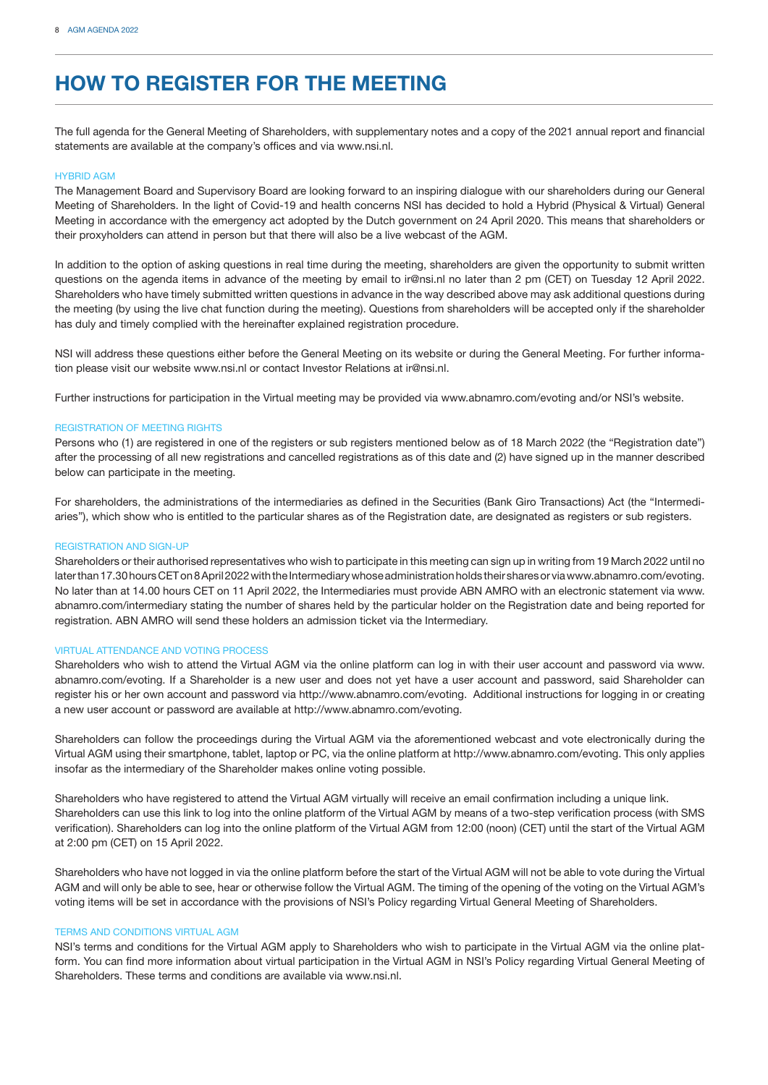## **HOW TO REGISTER FOR THE MEETING**

The full agenda for the General Meeting of Shareholders, with supplementary notes and a copy of the 2021 annual report and financial statements are available at the company's offices and via www.nsi.nl.

#### HYBRID AGM

The Management Board and Supervisory Board are looking forward to an inspiring dialogue with our shareholders during our General Meeting of Shareholders. In the light of Covid-19 and health concerns NSI has decided to hold a Hybrid (Physical & Virtual) General Meeting in accordance with the emergency act adopted by the Dutch government on 24 April 2020. This means that shareholders or their proxyholders can attend in person but that there will also be a live webcast of the AGM.

In addition to the option of asking questions in real time during the meeting, shareholders are given the opportunity to submit written questions on the agenda items in advance of the meeting by email to ir@nsi.nl no later than 2 pm (CET) on Tuesday 12 April 2022. Shareholders who have timely submitted written questions in advance in the way described above may ask additional questions during the meeting (by using the live chat function during the meeting). Questions from shareholders will be accepted only if the shareholder has duly and timely complied with the hereinafter explained registration procedure.

NSI will address these questions either before the General Meeting on its website or during the General Meeting. For further information please visit our website www.nsi.nl or contact Investor Relations at ir@nsi.nl.

Further instructions for participation in the Virtual meeting may be provided via www.abnamro.com/evoting and/or NSI's website.

#### REGISTRATION OF MEETING RIGHTS

Persons who (1) are registered in one of the registers or sub registers mentioned below as of 18 March 2022 (the "Registration date") after the processing of all new registrations and cancelled registrations as of this date and (2) have signed up in the manner described below can participate in the meeting.

For shareholders, the administrations of the intermediaries as defined in the Securities (Bank Giro Transactions) Act (the "Intermediaries"), which show who is entitled to the particular shares as of the Registration date, are designated as registers or sub registers.

#### REGISTRATION AND SIGN-UP

Shareholders or their authorised representatives who wish to participate in this meeting can sign up in writing from 19 March 2022 until no later than 17.30 hours CET on 8 April 2022 with the Intermediary whose administration holds their shares or via www.abnamro.com/evoting. No later than at 14.00 hours CET on 11 April 2022, the Intermediaries must provide ABN AMRO with an electronic statement via www. abnamro.com/intermediary stating the number of shares held by the particular holder on the Registration date and being reported for registration. ABN AMRO will send these holders an admission ticket via the Intermediary.

#### VIRTUAL ATTENDANCE AND VOTING PROCESS

Shareholders who wish to attend the Virtual AGM via the online platform can log in with their user account and password via www. abnamro.com/evoting. If a Shareholder is a new user and does not yet have a user account and password, said Shareholder can register his or her own account and password via http://www.abnamro.com/evoting. Additional instructions for logging in or creating a new user account or password are available at http://www.abnamro.com/evoting.

Shareholders can follow the proceedings during the Virtual AGM via the aforementioned webcast and vote electronically during the Virtual AGM using their smartphone, tablet, laptop or PC, via the online platform at http://www.abnamro.com/evoting. This only applies insofar as the intermediary of the Shareholder makes online voting possible.

Shareholders who have registered to attend the Virtual AGM virtually will receive an email confirmation including a unique link. Shareholders can use this link to log into the online platform of the Virtual AGM by means of a two-step verification process (with SMS verification). Shareholders can log into the online platform of the Virtual AGM from 12:00 (noon) (CET) until the start of the Virtual AGM at 2:00 pm (CET) on 15 April 2022.

Shareholders who have not logged in via the online platform before the start of the Virtual AGM will not be able to vote during the Virtual AGM and will only be able to see, hear or otherwise follow the Virtual AGM. The timing of the opening of the voting on the Virtual AGM's voting items will be set in accordance with the provisions of NSI's Policy regarding Virtual General Meeting of Shareholders.

#### TERMS AND CONDITIONS VIRTUAL AGM

NSI's terms and conditions for the Virtual AGM apply to Shareholders who wish to participate in the Virtual AGM via the online platform. You can find more information about virtual participation in the Virtual AGM in NSI's Policy regarding Virtual General Meeting of Shareholders. These terms and conditions are available via www.nsi.nl.